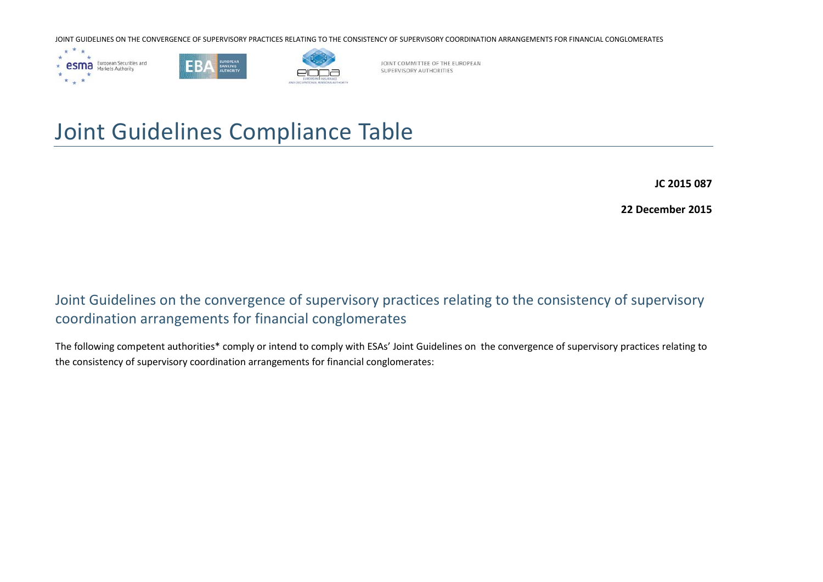





JOINT COMMITTEE OF THE EUROPEAN SUPERVISORY AUTHORITIES

## Joint Guidelines Compliance Table

**JC 2015 087**

**22 December 2015**

## Joint Guidelines on the convergence of supervisory practices relating to the consistency of supervisory coordination arrangements for financial conglomerates

The following competent authorities\* comply or intend to comply with ESAs' Joint Guidelines on the convergence of supervisory practices relating to the consistency of supervisory coordination arrangements for financial conglomerates: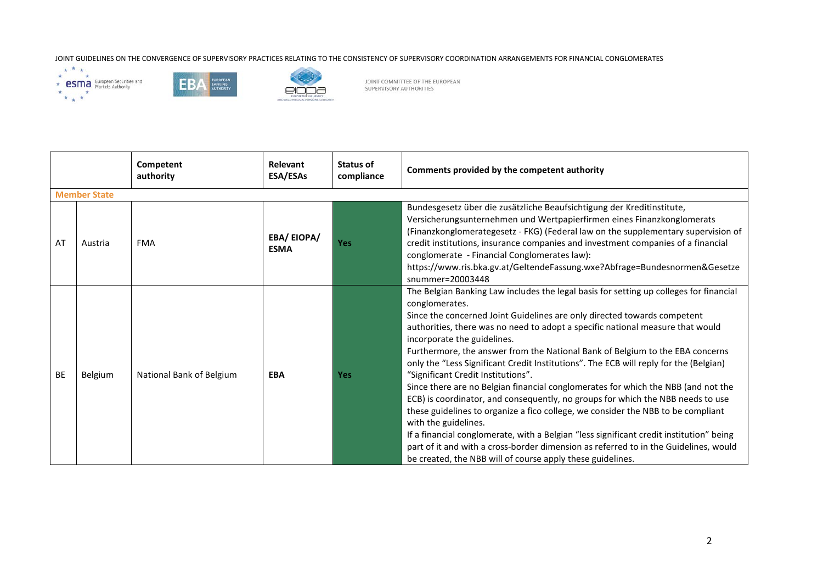





|           |                     | Competent<br>authority   | Relevant<br>ESA/ESAs             | Status of<br>compliance | Comments provided by the competent authority                                                                                                                                                                                                                                                                                                                                                                                                                                                                                                                                                                                                                                                                                                                                                                                                                                                                                                                                                                                                               |  |  |  |  |
|-----------|---------------------|--------------------------|----------------------------------|-------------------------|------------------------------------------------------------------------------------------------------------------------------------------------------------------------------------------------------------------------------------------------------------------------------------------------------------------------------------------------------------------------------------------------------------------------------------------------------------------------------------------------------------------------------------------------------------------------------------------------------------------------------------------------------------------------------------------------------------------------------------------------------------------------------------------------------------------------------------------------------------------------------------------------------------------------------------------------------------------------------------------------------------------------------------------------------------|--|--|--|--|
|           | <b>Member State</b> |                          |                                  |                         |                                                                                                                                                                                                                                                                                                                                                                                                                                                                                                                                                                                                                                                                                                                                                                                                                                                                                                                                                                                                                                                            |  |  |  |  |
| AT        | Austria             | <b>FMA</b>               | <b>EBA/EIOPA/</b><br><b>ESMA</b> | <b>Yes</b>              | Bundesgesetz über die zusätzliche Beaufsichtigung der Kreditinstitute,<br>Versicherungsunternehmen und Wertpapierfirmen eines Finanzkonglomerats<br>(Finanzkonglomerategesetz - FKG) (Federal law on the supplementary supervision of<br>credit institutions, insurance companies and investment companies of a financial<br>conglomerate - Financial Conglomerates law):<br>https://www.ris.bka.gv.at/GeltendeFassung.wxe?Abfrage=Bundesnormen&Gesetze<br>$s$ nummer=20003448                                                                                                                                                                                                                                                                                                                                                                                                                                                                                                                                                                             |  |  |  |  |
| <b>BE</b> | Belgium             | National Bank of Belgium | <b>EBA</b>                       | <b>Yes</b>              | The Belgian Banking Law includes the legal basis for setting up colleges for financial<br>conglomerates.<br>Since the concerned Joint Guidelines are only directed towards competent<br>authorities, there was no need to adopt a specific national measure that would<br>incorporate the guidelines.<br>Furthermore, the answer from the National Bank of Belgium to the EBA concerns<br>only the "Less Significant Credit Institutions". The ECB will reply for the (Belgian)<br>"Significant Credit Institutions".<br>Since there are no Belgian financial conglomerates for which the NBB (and not the<br>ECB) is coordinator, and consequently, no groups for which the NBB needs to use<br>these guidelines to organize a fico college, we consider the NBB to be compliant<br>with the guidelines.<br>If a financial conglomerate, with a Belgian "less significant credit institution" being<br>part of it and with a cross-border dimension as referred to in the Guidelines, would<br>be created, the NBB will of course apply these guidelines. |  |  |  |  |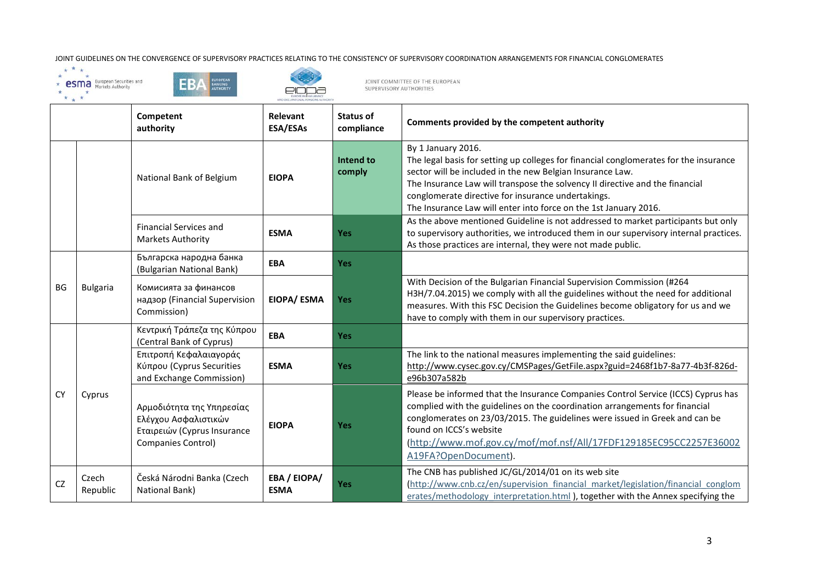





EURI<br>I AND OCCURATI

|           |                   | Competent<br>authority                                                                                 | <b>Relevant</b><br>ESA/ESAs | <b>Status of</b><br>compliance | Comments provided by the competent authority                                                                                                                                                                                                                                                                                                                                       |
|-----------|-------------------|--------------------------------------------------------------------------------------------------------|-----------------------------|--------------------------------|------------------------------------------------------------------------------------------------------------------------------------------------------------------------------------------------------------------------------------------------------------------------------------------------------------------------------------------------------------------------------------|
|           |                   | National Bank of Belgium                                                                               | <b>EIOPA</b>                | Intend to<br>comply            | By 1 January 2016.<br>The legal basis for setting up colleges for financial conglomerates for the insurance<br>sector will be included in the new Belgian Insurance Law.<br>The Insurance Law will transpose the solvency II directive and the financial<br>conglomerate directive for insurance undertakings.<br>The Insurance Law will enter into force on the 1st January 2016. |
|           |                   | <b>Financial Services and</b><br><b>Markets Authority</b>                                              | <b>ESMA</b>                 | <b>Yes</b>                     | As the above mentioned Guideline is not addressed to market participants but only<br>to supervisory authorities, we introduced them in our supervisory internal practices.<br>As those practices are internal, they were not made public.                                                                                                                                          |
|           | <b>Bulgaria</b>   | Българска народна банка<br>(Bulgarian National Bank)                                                   | <b>EBA</b>                  | <b>Yes</b>                     |                                                                                                                                                                                                                                                                                                                                                                                    |
| <b>BG</b> |                   | Комисията за финансов<br>надзор (Financial Supervision<br>Commission)                                  | <b>EIOPA/ ESMA</b>          | <b>Yes</b>                     | With Decision of the Bulgarian Financial Supervision Commission (#264<br>H3H/7.04.2015) we comply with all the guidelines without the need for additional<br>measures. With this FSC Decision the Guidelines become obligatory for us and we<br>have to comply with them in our supervisory practices.                                                                             |
|           |                   | Κεντρική Τράπεζα της Κύπρου<br>(Central Bank of Cyprus)                                                | <b>EBA</b>                  | <b>Yes</b>                     |                                                                                                                                                                                                                                                                                                                                                                                    |
|           |                   | Επιτροπή Κεφαλαιαγοράς<br>Κύπρου (Cyprus Securities<br>and Exchange Commission)                        | <b>ESMA</b>                 | <b>Yes</b>                     | The link to the national measures implementing the said guidelines:<br>http://www.cysec.gov.cy/CMSPages/GetFile.aspx?guid=2468f1b7-8a77-4b3f-826d-<br>e96b307a582b                                                                                                                                                                                                                 |
| <b>CY</b> | Cyprus            | Αρμοδιότητα της Υπηρεσίας<br>Ελέγχου Ασφαλιστικών<br>Εταιρειών (Cyprus Insurance<br>Companies Control) | <b>EIOPA</b>                | <b>Yes</b>                     | Please be informed that the Insurance Companies Control Service (ICCS) Cyprus has<br>complied with the guidelines on the coordination arrangements for financial<br>conglomerates on 23/03/2015. The guidelines were issued in Greek and can be<br>found on ICCS's website<br>(http://www.mof.gov.cy/mof/mof.nsf/All/17FDF129185EC95CC2257E36002<br>A19FA?OpenDocument).           |
| <b>CZ</b> | Czech<br>Republic | Česká Národni Banka (Czech<br>National Bank)                                                           | EBA / EIOPA/<br><b>ESMA</b> | <b>Yes</b>                     | The CNB has published JC/GL/2014/01 on its web site<br>(http://www.cnb.cz/en/supervision financial market/legislation/financial conglom<br>erates/methodology interpretation.html), together with the Annex specifying the                                                                                                                                                         |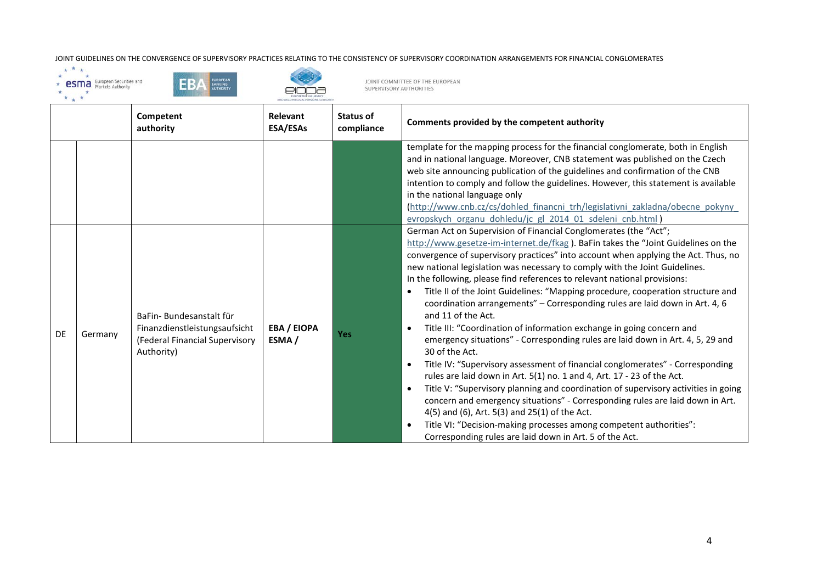





|    |         | Competent<br>authority                                                                                   | Relevant<br>ESA/ESAs        | <b>Status of</b><br>compliance | Comments provided by the competent authority                                                                                                                                                                                                                                                                                                                                                                                                                                                                                                                                                                                                                                                                                                                                                                                                                                                                                                                                                                                                                                                                                                                                                                                                                                                                                                         |
|----|---------|----------------------------------------------------------------------------------------------------------|-----------------------------|--------------------------------|------------------------------------------------------------------------------------------------------------------------------------------------------------------------------------------------------------------------------------------------------------------------------------------------------------------------------------------------------------------------------------------------------------------------------------------------------------------------------------------------------------------------------------------------------------------------------------------------------------------------------------------------------------------------------------------------------------------------------------------------------------------------------------------------------------------------------------------------------------------------------------------------------------------------------------------------------------------------------------------------------------------------------------------------------------------------------------------------------------------------------------------------------------------------------------------------------------------------------------------------------------------------------------------------------------------------------------------------------|
|    |         |                                                                                                          |                             |                                | template for the mapping process for the financial conglomerate, both in English<br>and in national language. Moreover, CNB statement was published on the Czech<br>web site announcing publication of the guidelines and confirmation of the CNB<br>intention to comply and follow the guidelines. However, this statement is available<br>in the national language only<br>(http://www.cnb.cz/cs/dohled financni trh/legislativni zakladna/obecne pokyny<br>evropskych organu dohledu/jc gl 2014 01 sdeleni cnb.html)                                                                                                                                                                                                                                                                                                                                                                                                                                                                                                                                                                                                                                                                                                                                                                                                                              |
| DE | Germany | BaFin-Bundesanstalt für<br>Finanzdienstleistungsaufsicht<br>(Federal Financial Supervisory<br>Authority) | <b>EBA / EIOPA</b><br>ESMA/ | Yes                            | German Act on Supervision of Financial Conglomerates (the "Act";<br>http://www.gesetze-im-internet.de/fkag). BaFin takes the "Joint Guidelines on the<br>convergence of supervisory practices" into account when applying the Act. Thus, no<br>new national legislation was necessary to comply with the Joint Guidelines.<br>In the following, please find references to relevant national provisions:<br>Title II of the Joint Guidelines: "Mapping procedure, cooperation structure and<br>$\bullet$<br>coordination arrangements" - Corresponding rules are laid down in Art. 4, 6<br>and 11 of the Act.<br>Title III: "Coordination of information exchange in going concern and<br>$\bullet$<br>emergency situations" - Corresponding rules are laid down in Art. 4, 5, 29 and<br>30 of the Act.<br>Title IV: "Supervisory assessment of financial conglomerates" - Corresponding<br>$\bullet$<br>rules are laid down in Art. 5(1) no. 1 and 4, Art. 17 - 23 of the Act.<br>Title V: "Supervisory planning and coordination of supervisory activities in going<br>$\bullet$<br>concern and emergency situations" - Corresponding rules are laid down in Art.<br>4(5) and (6), Art. 5(3) and 25(1) of the Act.<br>Title VI: "Decision-making processes among competent authorities":<br>Corresponding rules are laid down in Art. 5 of the Act. |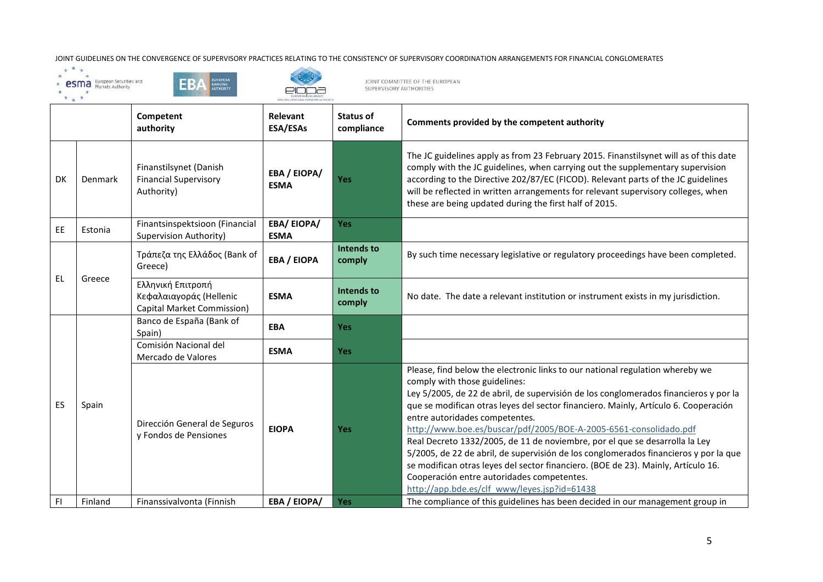JOINT GUIDELINES ON THE CONVERGENCE OF SUPERVISORY PRACTICES RELATING TO THE CONSISTENCY OF SUPERVISORY COORDINATION ARRANGEMENTS FOR FINANCIAL CONGLOMERATES  $\star \star \star \star$ <br>  $\star$  esting  $\star$  and  $\star$   $\star$  and  $\star$   $\star$  and  $\$ 







AND OCCUPATIONAL PENSIONS AUTHORITY

|    |         | Competent<br>authority                                                     | <b>Relevant</b><br>ESA/ESAs      | <b>Status of</b><br>compliance | Comments provided by the competent authority                                                                                                                                                                                                                                                                                                                                                                                                                                                                                                                                                                                                                                                                                                                   |
|----|---------|----------------------------------------------------------------------------|----------------------------------|--------------------------------|----------------------------------------------------------------------------------------------------------------------------------------------------------------------------------------------------------------------------------------------------------------------------------------------------------------------------------------------------------------------------------------------------------------------------------------------------------------------------------------------------------------------------------------------------------------------------------------------------------------------------------------------------------------------------------------------------------------------------------------------------------------|
| DK | Denmark | Finanstilsynet (Danish<br><b>Financial Supervisory</b><br>Authority)       | EBA / EIOPA/<br><b>ESMA</b>      | Yes                            | The JC guidelines apply as from 23 February 2015. Finanstilsynet will as of this date<br>comply with the JC guidelines, when carrying out the supplementary supervision<br>according to the Directive 202/87/EC (FICOD). Relevant parts of the JC guidelines<br>will be reflected in written arrangements for relevant supervisory colleges, when<br>these are being updated during the first half of 2015.                                                                                                                                                                                                                                                                                                                                                    |
| EE | Estonia | Finantsinspektsioon (Financial<br>Supervision Authority)                   | <b>EBA/EIOPA/</b><br><b>ESMA</b> | Yes                            |                                                                                                                                                                                                                                                                                                                                                                                                                                                                                                                                                                                                                                                                                                                                                                |
|    | Greece  | Τράπεζα της Ελλάδος (Bank of<br>Greece)                                    | <b>EBA / EIOPA</b>               | <b>Intends to</b><br>comply    | By such time necessary legislative or regulatory proceedings have been completed.                                                                                                                                                                                                                                                                                                                                                                                                                                                                                                                                                                                                                                                                              |
| EL |         | Ελληνική Επιτροπή<br>Κεφαλαιαγοράς (Hellenic<br>Capital Market Commission) | <b>ESMA</b>                      | <b>Intends to</b><br>comply    | No date. The date a relevant institution or instrument exists in my jurisdiction.                                                                                                                                                                                                                                                                                                                                                                                                                                                                                                                                                                                                                                                                              |
|    |         | Banco de España (Bank of<br>Spain)                                         | <b>EBA</b>                       | <b>Yes</b>                     |                                                                                                                                                                                                                                                                                                                                                                                                                                                                                                                                                                                                                                                                                                                                                                |
|    |         | Comisión Nacional del<br>Mercado de Valores                                | <b>ESMA</b>                      | Yes                            |                                                                                                                                                                                                                                                                                                                                                                                                                                                                                                                                                                                                                                                                                                                                                                |
| ES | Spain   | Dirección General de Seguros<br>y Fondos de Pensiones                      | <b>EIOPA</b>                     | <b>Yes</b>                     | Please, find below the electronic links to our national regulation whereby we<br>comply with those guidelines:<br>Ley 5/2005, de 22 de abril, de supervisión de los conglomerados financieros y por la<br>que se modifican otras leyes del sector financiero. Mainly, Artículo 6. Cooperación<br>entre autoridades competentes.<br>http://www.boe.es/buscar/pdf/2005/BOE-A-2005-6561-consolidado.pdf<br>Real Decreto 1332/2005, de 11 de noviembre, por el que se desarrolla la Ley<br>5/2005, de 22 de abril, de supervisión de los conglomerados financieros y por la que<br>se modifican otras leyes del sector financiero. (BOE de 23). Mainly, Artículo 16.<br>Cooperación entre autoridades competentes.<br>http://app.bde.es/clf www/leyes.jsp?id=61438 |
| F1 | Finland | Finanssivalvonta (Finnish                                                  | EBA / EIOPA/                     | <b>Yes</b>                     | The compliance of this guidelines has been decided in our management group in                                                                                                                                                                                                                                                                                                                                                                                                                                                                                                                                                                                                                                                                                  |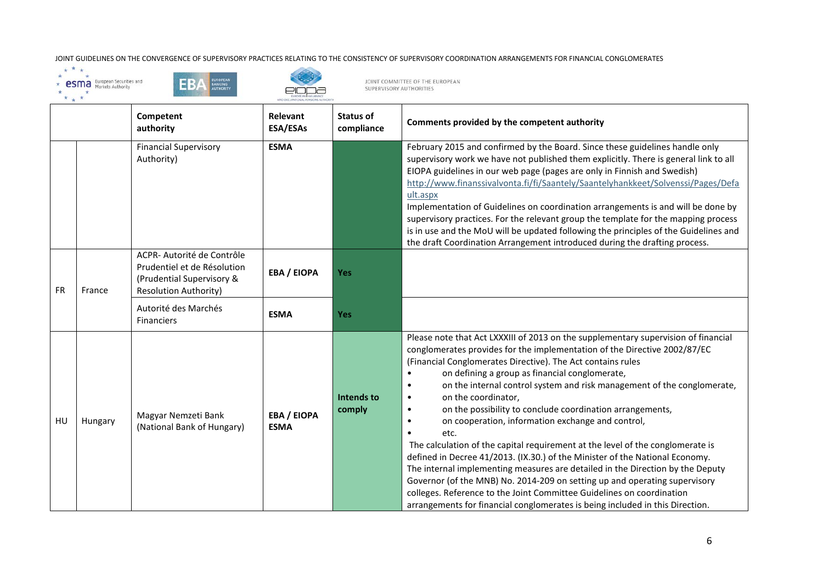





EURI<br>I AND OCCURATI

|           |         | Competent<br>authority                                                                                                 | <b>Relevant</b><br>ESA/ESAs       | <b>Status of</b><br>compliance | Comments provided by the competent authority                                                                                                                                                                                                                                                                                                                                                                                                                                                                                                                                                                                                                                                                                                                                                                                                                                                                                                                                                                                                    |
|-----------|---------|------------------------------------------------------------------------------------------------------------------------|-----------------------------------|--------------------------------|-------------------------------------------------------------------------------------------------------------------------------------------------------------------------------------------------------------------------------------------------------------------------------------------------------------------------------------------------------------------------------------------------------------------------------------------------------------------------------------------------------------------------------------------------------------------------------------------------------------------------------------------------------------------------------------------------------------------------------------------------------------------------------------------------------------------------------------------------------------------------------------------------------------------------------------------------------------------------------------------------------------------------------------------------|
|           |         | <b>Financial Supervisory</b><br>Authority)                                                                             | <b>ESMA</b>                       |                                | February 2015 and confirmed by the Board. Since these guidelines handle only<br>supervisory work we have not published them explicitly. There is general link to all<br>EIOPA guidelines in our web page (pages are only in Finnish and Swedish)<br>http://www.finanssivalvonta.fi/fi/Saantely/Saantelyhankkeet/Solvenssi/Pages/Defa<br>ult.aspx<br>Implementation of Guidelines on coordination arrangements is and will be done by<br>supervisory practices. For the relevant group the template for the mapping process<br>is in use and the MoU will be updated following the principles of the Guidelines and<br>the draft Coordination Arrangement introduced during the drafting process.                                                                                                                                                                                                                                                                                                                                                |
| <b>FR</b> | France  | ACPR- Autorité de Contrôle<br>Prudentiel et de Résolution<br>(Prudential Supervisory &<br><b>Resolution Authority)</b> | <b>EBA / EIOPA</b>                | <b>Yes</b>                     |                                                                                                                                                                                                                                                                                                                                                                                                                                                                                                                                                                                                                                                                                                                                                                                                                                                                                                                                                                                                                                                 |
|           |         | Autorité des Marchés<br><b>Financiers</b>                                                                              | <b>ESMA</b>                       | <b>Yes</b>                     |                                                                                                                                                                                                                                                                                                                                                                                                                                                                                                                                                                                                                                                                                                                                                                                                                                                                                                                                                                                                                                                 |
| HU        | Hungary | Magyar Nemzeti Bank<br>(National Bank of Hungary)                                                                      | <b>EBA / EIOPA</b><br><b>ESMA</b> | Intends to<br>comply           | Please note that Act LXXXIII of 2013 on the supplementary supervision of financial<br>conglomerates provides for the implementation of the Directive 2002/87/EC<br>(Financial Conglomerates Directive). The Act contains rules<br>on defining a group as financial conglomerate,<br>on the internal control system and risk management of the conglomerate,<br>on the coordinator,<br>$\bullet$<br>on the possibility to conclude coordination arrangements,<br>$\bullet$<br>on cooperation, information exchange and control,<br>etc.<br>$\bullet$<br>The calculation of the capital requirement at the level of the conglomerate is<br>defined in Decree 41/2013. (IX.30.) of the Minister of the National Economy.<br>The internal implementing measures are detailed in the Direction by the Deputy<br>Governor (of the MNB) No. 2014-209 on setting up and operating supervisory<br>colleges. Reference to the Joint Committee Guidelines on coordination<br>arrangements for financial conglomerates is being included in this Direction. |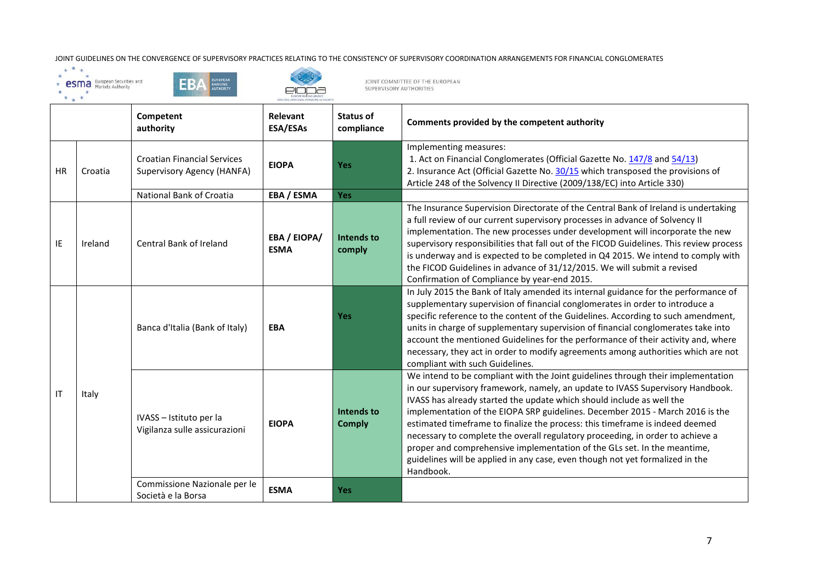## JOINT GUIDELINES ON THE CONVERGENCE OF SUPERVISORY PRACTICES RELATING TO THE CONSISTENCY OF SUPERVISORY COORDINATION ARRANGEMENTS FOR FINANCIAL CONGLOMERATES  $\star \star \star \star$ <br>  $\star$  esting  $\star$  and  $\star$   $\star$  and  $\star$   $\star$  and  $\$







AND OCCUPATIONAL PENSIONS AUTHORITY

|           |         | Competent<br>authority                                                  | <b>Relevant</b><br><b>ESA/ESAs</b> | <b>Status of</b><br>compliance | Comments provided by the competent authority                                                                                                                                                                                                                                                                                                                                                                                                                                                                                                                                                                                                                             |
|-----------|---------|-------------------------------------------------------------------------|------------------------------------|--------------------------------|--------------------------------------------------------------------------------------------------------------------------------------------------------------------------------------------------------------------------------------------------------------------------------------------------------------------------------------------------------------------------------------------------------------------------------------------------------------------------------------------------------------------------------------------------------------------------------------------------------------------------------------------------------------------------|
| <b>HR</b> | Croatia | <b>Croatian Financial Services</b><br><b>Supervisory Agency (HANFA)</b> | <b>EIOPA</b>                       | <b>Yes</b>                     | Implementing measures:<br>1. Act on Financial Conglomerates (Official Gazette No. 147/8 and 54/13)<br>2. Insurance Act (Official Gazette No. 30/15 which transposed the provisions of<br>Article 248 of the Solvency II Directive (2009/138/EC) into Article 330)                                                                                                                                                                                                                                                                                                                                                                                                        |
|           |         | National Bank of Croatia                                                | EBA / ESMA                         | <b>Yes</b>                     |                                                                                                                                                                                                                                                                                                                                                                                                                                                                                                                                                                                                                                                                          |
| ΙE        | Ireland | Central Bank of Ireland                                                 | <b>EBA / EIOPA/</b><br><b>ESMA</b> | Intends to<br>comply           | The Insurance Supervision Directorate of the Central Bank of Ireland is undertaking<br>a full review of our current supervisory processes in advance of Solvency II<br>implementation. The new processes under development will incorporate the new<br>supervisory responsibilities that fall out of the FICOD Guidelines. This review process<br>is underway and is expected to be completed in Q4 2015. We intend to comply with<br>the FICOD Guidelines in advance of 31/12/2015. We will submit a revised<br>Confirmation of Compliance by year-end 2015.                                                                                                            |
| IT        | Italy   | Banca d'Italia (Bank of Italy)                                          | <b>EBA</b>                         | <b>Yes</b>                     | In July 2015 the Bank of Italy amended its internal guidance for the performance of<br>supplementary supervision of financial conglomerates in order to introduce a<br>specific reference to the content of the Guidelines. According to such amendment,<br>units in charge of supplementary supervision of financial conglomerates take into<br>account the mentioned Guidelines for the performance of their activity and, where<br>necessary, they act in order to modify agreements among authorities which are not<br>compliant with such Guidelines.                                                                                                               |
|           |         | IVASS - Istituto per la<br>Vigilanza sulle assicurazioni                | <b>EIOPA</b>                       | Intends to<br><b>Comply</b>    | We intend to be compliant with the Joint guidelines through their implementation<br>in our supervisory framework, namely, an update to IVASS Supervisory Handbook.<br>IVASS has already started the update which should include as well the<br>implementation of the EIOPA SRP guidelines. December 2015 - March 2016 is the<br>estimated timeframe to finalize the process: this timeframe is indeed deemed<br>necessary to complete the overall regulatory proceeding, in order to achieve a<br>proper and comprehensive implementation of the GLs set. In the meantime,<br>guidelines will be applied in any case, even though not yet formalized in the<br>Handbook. |
|           |         | Commissione Nazionale per le<br>Società e la Borsa                      | <b>ESMA</b>                        | <b>Yes</b>                     |                                                                                                                                                                                                                                                                                                                                                                                                                                                                                                                                                                                                                                                                          |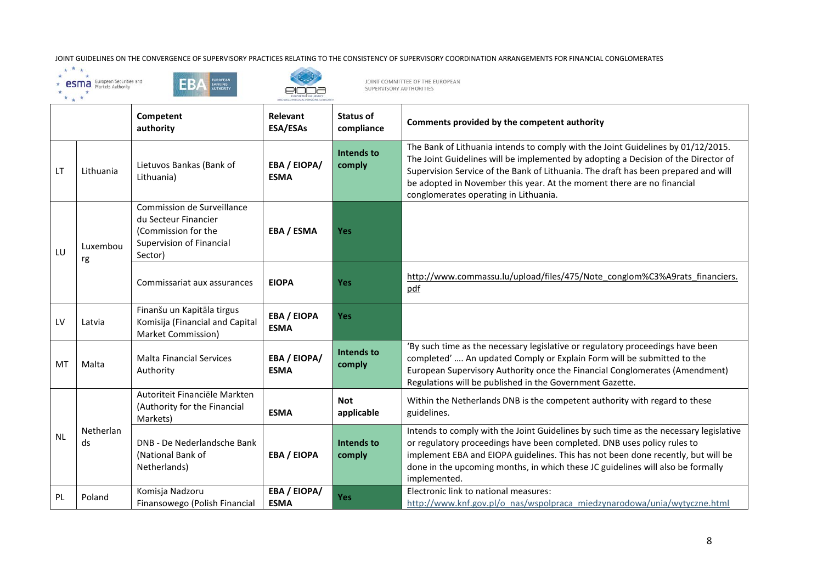





EUR<br>AND OCCURN

|           |                 | Competent<br>authority                                                                                           | <b>Relevant</b><br><b>ESA/ESAs</b> | Status of<br>compliance  | Comments provided by the competent authority                                                                                                                                                                                                                                                                                                                                    |
|-----------|-----------------|------------------------------------------------------------------------------------------------------------------|------------------------------------|--------------------------|---------------------------------------------------------------------------------------------------------------------------------------------------------------------------------------------------------------------------------------------------------------------------------------------------------------------------------------------------------------------------------|
| <b>LT</b> | Lithuania       | Lietuvos Bankas (Bank of<br>Lithuania)                                                                           | EBA / EIOPA/<br><b>ESMA</b>        | Intends to<br>comply     | The Bank of Lithuania intends to comply with the Joint Guidelines by 01/12/2015.<br>The Joint Guidelines will be implemented by adopting a Decision of the Director of<br>Supervision Service of the Bank of Lithuania. The draft has been prepared and will<br>be adopted in November this year. At the moment there are no financial<br>conglomerates operating in Lithuania. |
| LU        | Luxembou<br>rg  | Commission de Surveillance<br>du Secteur Financier<br>(Commission for the<br>Supervision of Financial<br>Sector) | EBA / ESMA                         | <b>Yes</b>               |                                                                                                                                                                                                                                                                                                                                                                                 |
|           |                 | Commissariat aux assurances                                                                                      | <b>EIOPA</b>                       | <b>Yes</b>               | http://www.commassu.lu/upload/files/475/Note_conglom%C3%A9rats_financiers.<br>pdf                                                                                                                                                                                                                                                                                               |
| LV        | Latvia          | Finanšu un Kapitāla tirgus<br>Komisija (Financial and Capital<br>Market Commission)                              | <b>EBA / EIOPA</b><br><b>ESMA</b>  | <b>Yes</b>               |                                                                                                                                                                                                                                                                                                                                                                                 |
| MT        | Malta           | <b>Malta Financial Services</b><br>Authority                                                                     | <b>EBA / EIOPA/</b><br><b>ESMA</b> | Intends to<br>comply     | 'By such time as the necessary legislative or regulatory proceedings have been<br>completed'  An updated Comply or Explain Form will be submitted to the<br>European Supervisory Authority once the Financial Conglomerates (Amendment)<br>Regulations will be published in the Government Gazette.                                                                             |
| <b>NL</b> | Netherlan<br>ds | Autoriteit Financiële Markten<br>(Authority for the Financial<br>Markets)                                        | <b>ESMA</b>                        | <b>Not</b><br>applicable | Within the Netherlands DNB is the competent authority with regard to these<br>guidelines.                                                                                                                                                                                                                                                                                       |
|           |                 | DNB - De Nederlandsche Bank<br>(National Bank of<br>Netherlands)                                                 | <b>EBA / EIOPA</b>                 | Intends to<br>comply     | Intends to comply with the Joint Guidelines by such time as the necessary legislative<br>or regulatory proceedings have been completed. DNB uses policy rules to<br>implement EBA and EIOPA guidelines. This has not been done recently, but will be<br>done in the upcoming months, in which these JC guidelines will also be formally<br>implemented.                         |
| <b>PL</b> | Poland          | Komisja Nadzoru<br>Finansowego (Polish Financial                                                                 | EBA / EIOPA/<br><b>ESMA</b>        | <b>Yes</b>               | Electronic link to national measures:<br>http://www.knf.gov.pl/o nas/wspolpraca miedzynarodowa/unia/wytyczne.html                                                                                                                                                                                                                                                               |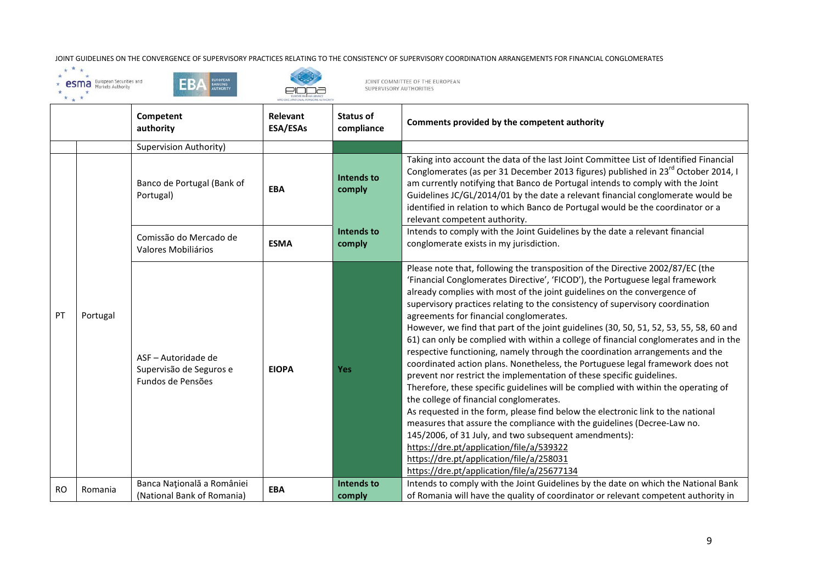





EUR<br>AND OCCURN

|           |          | Competent<br>authority                                              | Relevant<br><b>ESA/ESAs</b> | <b>Status of</b><br>compliance               | Comments provided by the competent authority                                                                                                                                                                                                                                                                                                                                                                                                                                                                                                                                                                                                                                                                                                                                                                                                                                                                                                                                                                                                                                                                                                                                                                                                                                                       |
|-----------|----------|---------------------------------------------------------------------|-----------------------------|----------------------------------------------|----------------------------------------------------------------------------------------------------------------------------------------------------------------------------------------------------------------------------------------------------------------------------------------------------------------------------------------------------------------------------------------------------------------------------------------------------------------------------------------------------------------------------------------------------------------------------------------------------------------------------------------------------------------------------------------------------------------------------------------------------------------------------------------------------------------------------------------------------------------------------------------------------------------------------------------------------------------------------------------------------------------------------------------------------------------------------------------------------------------------------------------------------------------------------------------------------------------------------------------------------------------------------------------------------|
|           |          | Supervision Authority)                                              |                             |                                              |                                                                                                                                                                                                                                                                                                                                                                                                                                                                                                                                                                                                                                                                                                                                                                                                                                                                                                                                                                                                                                                                                                                                                                                                                                                                                                    |
|           |          | Banco de Portugal (Bank of<br>Portugal)                             | <b>EBA</b>                  | Intends to<br>comply<br>Intends to<br>comply | Taking into account the data of the last Joint Committee List of Identified Financial<br>Conglomerates (as per 31 December 2013 figures) published in 23 <sup>rd</sup> October 2014, I<br>am currently notifying that Banco de Portugal intends to comply with the Joint<br>Guidelines JC/GL/2014/01 by the date a relevant financial conglomerate would be<br>identified in relation to which Banco de Portugal would be the coordinator or a<br>relevant competent authority.                                                                                                                                                                                                                                                                                                                                                                                                                                                                                                                                                                                                                                                                                                                                                                                                                    |
|           |          | Comissão do Mercado de<br>Valores Mobiliários                       | <b>ESMA</b>                 |                                              | Intends to comply with the Joint Guidelines by the date a relevant financial<br>conglomerate exists in my jurisdiction.                                                                                                                                                                                                                                                                                                                                                                                                                                                                                                                                                                                                                                                                                                                                                                                                                                                                                                                                                                                                                                                                                                                                                                            |
| PT        | Portugal | ASF - Autoridade de<br>Supervisão de Seguros e<br>Fundos de Pensões | <b>EIOPA</b>                | <b>Yes</b>                                   | Please note that, following the transposition of the Directive 2002/87/EC (the<br>'Financial Conglomerates Directive', 'FICOD'), the Portuguese legal framework<br>already complies with most of the joint guidelines on the convergence of<br>supervisory practices relating to the consistency of supervisory coordination<br>agreements for financial conglomerates.<br>However, we find that part of the joint guidelines (30, 50, 51, 52, 53, 55, 58, 60 and<br>61) can only be complied with within a college of financial conglomerates and in the<br>respective functioning, namely through the coordination arrangements and the<br>coordinated action plans. Nonetheless, the Portuguese legal framework does not<br>prevent nor restrict the implementation of these specific guidelines.<br>Therefore, these specific guidelines will be complied with within the operating of<br>the college of financial conglomerates.<br>As requested in the form, please find below the electronic link to the national<br>measures that assure the compliance with the guidelines (Decree-Law no.<br>145/2006, of 31 July, and two subsequent amendments):<br>https://dre.pt/application/file/a/539322<br>https://dre.pt/application/file/a/258031<br>https://dre.pt/application/file/a/25677134 |
| <b>RO</b> | Romania  | Banca Națională a României<br>(National Bank of Romania)            | <b>EBA</b>                  | Intends to<br>comply                         | Intends to comply with the Joint Guidelines by the date on which the National Bank<br>of Romania will have the quality of coordinator or relevant competent authority in                                                                                                                                                                                                                                                                                                                                                                                                                                                                                                                                                                                                                                                                                                                                                                                                                                                                                                                                                                                                                                                                                                                           |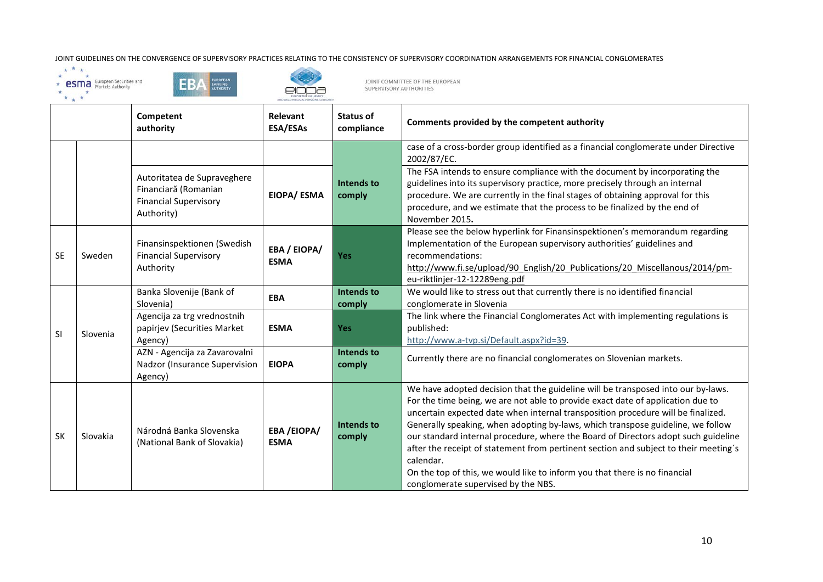JOINT GUIDELINES ON THE CONVERGENCE OF SUPERVISORY PRACTICES RELATING TO THE CONSISTENCY OF SUPERVISORY COORDINATION ARRANGEMENTS FOR FINANCIAL CONGLOMERATES  $\star \star \star \star$ <br>  $\star$  esting  $\star$  and  $\star$   $\star$  and  $\star$   $\star$  and  $\$ 







AND OCCUPATIONAL PENSIONS AUTHORITY

|           |          | Competent<br>authority                                                                            | Relevant<br>ESA/ESAs             | Status of<br>compliance | Comments provided by the competent authority                                                                                                                                                                                                                                                                                                                                                                                                                                                                                                                                                                                                               |
|-----------|----------|---------------------------------------------------------------------------------------------------|----------------------------------|-------------------------|------------------------------------------------------------------------------------------------------------------------------------------------------------------------------------------------------------------------------------------------------------------------------------------------------------------------------------------------------------------------------------------------------------------------------------------------------------------------------------------------------------------------------------------------------------------------------------------------------------------------------------------------------------|
|           |          |                                                                                                   |                                  |                         | case of a cross-border group identified as a financial conglomerate under Directive<br>2002/87/EC.                                                                                                                                                                                                                                                                                                                                                                                                                                                                                                                                                         |
|           |          | Autoritatea de Supraveghere<br>Financiară (Romanian<br><b>Financial Supervisory</b><br>Authority) | EIOPA/ ESMA                      | Intends to<br>comply    | The FSA intends to ensure compliance with the document by incorporating the<br>guidelines into its supervisory practice, more precisely through an internal<br>procedure. We are currently in the final stages of obtaining approval for this<br>procedure, and we estimate that the process to be finalized by the end of<br>November 2015.                                                                                                                                                                                                                                                                                                               |
| <b>SE</b> | Sweden   | Finansinspektionen (Swedish<br><b>Financial Supervisory</b><br>Authority                          | EBA / EIOPA/<br><b>ESMA</b>      | Yes                     | Please see the below hyperlink for Finansinspektionen's memorandum regarding<br>Implementation of the European supervisory authorities' guidelines and<br>recommendations:<br>http://www.fi.se/upload/90 English/20 Publications/20 Miscellanous/2014/pm-<br>eu-riktlinjer-12-12289eng.pdf                                                                                                                                                                                                                                                                                                                                                                 |
|           | Slovenia | Banka Slovenije (Bank of<br>Slovenia)                                                             | <b>EBA</b>                       | Intends to<br>comply    | We would like to stress out that currently there is no identified financial<br>conglomerate in Slovenia                                                                                                                                                                                                                                                                                                                                                                                                                                                                                                                                                    |
| <b>SI</b> |          | Agencija za trg vrednostnih<br>papirjev (Securities Market<br>Agency)                             | <b>ESMA</b>                      | Yes                     | The link where the Financial Conglomerates Act with implementing regulations is<br>published:<br>http://www.a-tvp.si/Default.aspx?id=39.                                                                                                                                                                                                                                                                                                                                                                                                                                                                                                                   |
|           |          | AZN - Agencija za Zavarovalni<br>Nadzor (Insurance Supervision<br>Agency)                         | <b>EIOPA</b>                     | Intends to<br>comply    | Currently there are no financial conglomerates on Slovenian markets.                                                                                                                                                                                                                                                                                                                                                                                                                                                                                                                                                                                       |
| <b>SK</b> | Slovakia | Národná Banka Slovenska<br>(National Bank of Slovakia)                                            | <b>EBA/EIOPA/</b><br><b>ESMA</b> | Intends to<br>comply    | We have adopted decision that the guideline will be transposed into our by-laws.<br>For the time being, we are not able to provide exact date of application due to<br>uncertain expected date when internal transposition procedure will be finalized.<br>Generally speaking, when adopting by-laws, which transpose guideline, we follow<br>our standard internal procedure, where the Board of Directors adopt such guideline<br>after the receipt of statement from pertinent section and subject to their meeting's<br>calendar.<br>On the top of this, we would like to inform you that there is no financial<br>conglomerate supervised by the NBS. |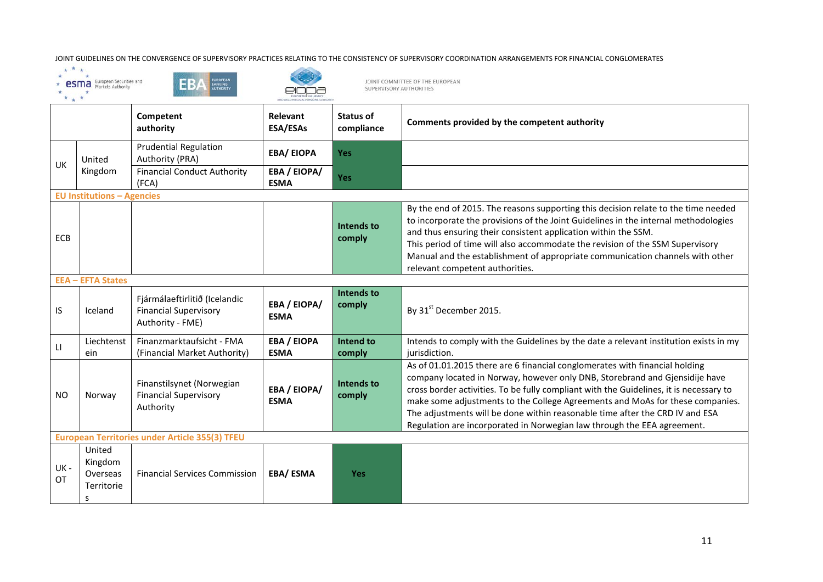





EI

|                |                                                  | Competent<br>authority                                                            | Relevant<br><b>ESA/ESAs</b>       | Status of<br>compliance     | Comments provided by the competent authority                                                                                                                                                                                                                                                                                                                                                                                                                                                     |
|----------------|--------------------------------------------------|-----------------------------------------------------------------------------------|-----------------------------------|-----------------------------|--------------------------------------------------------------------------------------------------------------------------------------------------------------------------------------------------------------------------------------------------------------------------------------------------------------------------------------------------------------------------------------------------------------------------------------------------------------------------------------------------|
|                | United                                           | <b>Prudential Regulation</b><br>Authority (PRA)                                   | <b>EBA/EIOPA</b>                  | <b>Yes</b>                  |                                                                                                                                                                                                                                                                                                                                                                                                                                                                                                  |
| UK             | Kingdom                                          | <b>Financial Conduct Authority</b><br>(FCA)                                       | EBA / EIOPA/<br><b>ESMA</b>       | <b>Yes</b>                  |                                                                                                                                                                                                                                                                                                                                                                                                                                                                                                  |
|                | <b>EU Institutions - Agencies</b>                |                                                                                   |                                   |                             |                                                                                                                                                                                                                                                                                                                                                                                                                                                                                                  |
| ECB            |                                                  |                                                                                   |                                   | Intends to<br>comply        | By the end of 2015. The reasons supporting this decision relate to the time needed<br>to incorporate the provisions of the Joint Guidelines in the internal methodologies<br>and thus ensuring their consistent application within the SSM.<br>This period of time will also accommodate the revision of the SSM Supervisory<br>Manual and the establishment of appropriate communication channels with other<br>relevant competent authorities.                                                 |
|                | <b>EEA - EFTA States</b>                         |                                                                                   |                                   |                             |                                                                                                                                                                                                                                                                                                                                                                                                                                                                                                  |
| IS             | Iceland                                          | Fjármálaeftirlitið (Icelandic<br><b>Financial Supervisory</b><br>Authority - FME) | EBA / EIOPA/<br><b>ESMA</b>       | <b>Intends to</b><br>comply | By 31st December 2015.                                                                                                                                                                                                                                                                                                                                                                                                                                                                           |
| $\mathsf{L}$   | Liechtenst<br>ein                                | Finanzmarktaufsicht - FMA<br>(Financial Market Authority)                         | <b>EBA / EIOPA</b><br><b>ESMA</b> | Intend to<br>comply         | Intends to comply with the Guidelines by the date a relevant institution exists in my<br>jurisdiction.                                                                                                                                                                                                                                                                                                                                                                                           |
| N <sub>O</sub> | Norway                                           | Finanstilsynet (Norwegian<br><b>Financial Supervisory</b><br>Authority            | EBA / EIOPA/<br><b>ESMA</b>       | <b>Intends to</b><br>comply | As of 01.01.2015 there are 6 financial conglomerates with financial holding<br>company located in Norway, however only DNB, Storebrand and Gjensidije have<br>cross border activities. To be fully compliant with the Guidelines, it is necessary to<br>make some adjustments to the College Agreements and MoAs for these companies.<br>The adjustments will be done within reasonable time after the CRD IV and ESA<br>Regulation are incorporated in Norwegian law through the EEA agreement. |
|                |                                                  | European Territories under Article 355(3) TFEU                                    |                                   |                             |                                                                                                                                                                                                                                                                                                                                                                                                                                                                                                  |
| UK-<br>ОT      | United<br>Kingdom<br>Overseas<br>Territorie<br>s | <b>Financial Services Commission</b>                                              | EBA/ESMA                          | <b>Yes</b>                  |                                                                                                                                                                                                                                                                                                                                                                                                                                                                                                  |